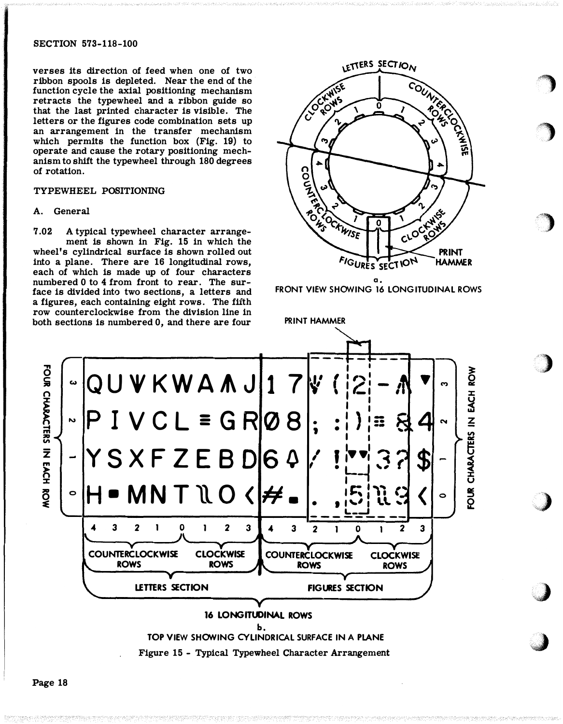## SECTION 573-118-100

verses its direction of feed when one of two ribbon spools is depleted. Near the end of the function cycle the axial positioning mechanism retracts the typewheel and a ribbon guide so that the last printed character is visible. The letters or the figures code combination sets up an arrangement in the transfer mechanism which permits the function box (Fig. 19) to operate and cause the rotary positioning mechanism to shift the typewheel through 180 degrees of rotation.

## TYPEWHEEL POSITIONING

## A. General

7.02 A typical typewheel character arrangement is shown in Fig. 15 in which the wheel's cylindrical surface is shown rolled out into a plane. There are 16 longitudinal rows, each of which is made up of four characters numbered 0 to 4 from front to rear. The surface is divided into two sections, a letters and a figures, each containing eight rows. The fifth row counterclockwise from the division line in both sections is numbered 0, and there are four



FRONT VIEW SHOWING 16 LONGITUDINAL ROWS

:

\''"::"

,j

PRINT HAMMER



Page 18